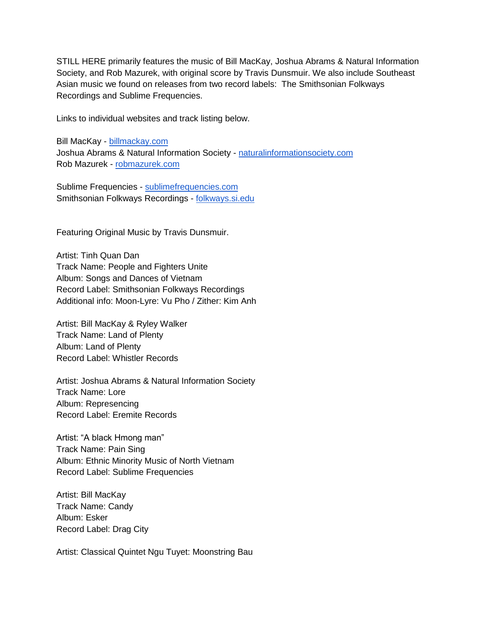STILL HERE primarily features the music of Bill MacKay, Joshua Abrams & Natural Information Society, and Rob Mazurek, with original score by Travis Dunsmuir. We also include Southeast Asian music we found on releases from two record labels: The Smithsonian Folkways Recordings and Sublime Frequencies.

Links to individual websites and track listing below.

Bill MacKay - [billmackay.com](https://billmackay.com/) Joshua Abrams & Natural Information Society - [naturalinformationsociety.com](http://naturalinformationsociety.com/) Rob Mazurek - [robmazurek.com](http://robmazurek.com/)

Sublime Frequencies - [sublimefrequencies.com](http://www.sublimefrequencies.com/) Smithsonian Folkways Recordings - [folkways.si.edu](https://folkways.si.edu/)

Featuring Original Music by Travis Dunsmuir.

Artist: Tinh Quan Dan Track Name: People and Fighters Unite Album: Songs and Dances of Vietnam Record Label: Smithsonian Folkways Recordings Additional info: Moon-Lyre: Vu Pho / Zither: Kim Anh

Artist: Bill MacKay & Ryley Walker Track Name: Land of Plenty Album: Land of Plenty Record Label: Whistler Records

Artist: Joshua Abrams & Natural Information Society Track Name: Lore Album: Represencing Record Label: Eremite Records

Artist: "A black Hmong man" Track Name: Pain Sing Album: Ethnic Minority Music of North Vietnam Record Label: Sublime Frequencies

Artist: Bill MacKay Track Name: Candy Album: Esker Record Label: Drag City

Artist: Classical Quintet Ngu Tuyet: Moonstring Bau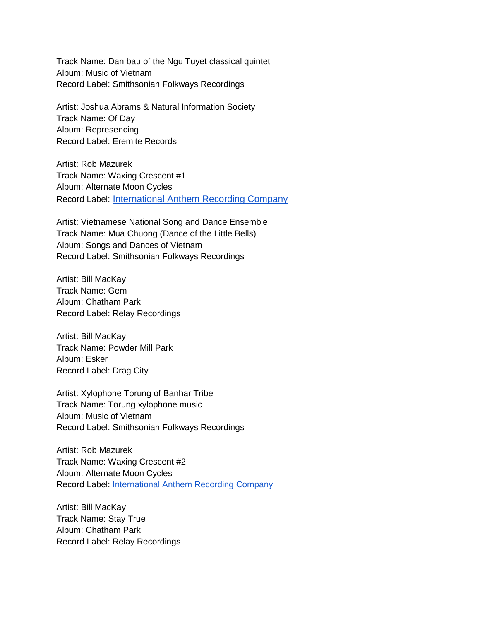Track Name: Dan bau of the Ngu Tuyet classical quintet Album: Music of Vietnam Record Label: Smithsonian Folkways Recordings

Artist: Joshua Abrams & Natural Information Society Track Name: Of Day Album: Represencing Record Label: Eremite Records

Artist: Rob Mazurek Track Name: Waxing Crescent #1 Album: Alternate Moon Cycles Record Label: [International Anthem Recording Company](http://www.intlanthem.com/)

Artist: Vietnamese National Song and Dance Ensemble Track Name: Mua Chuong (Dance of the Little Bells) Album: Songs and Dances of Vietnam Record Label: Smithsonian Folkways Recordings

Artist: Bill MacKay Track Name: Gem Album: Chatham Park Record Label: Relay Recordings

Artist: Bill MacKay Track Name: Powder Mill Park Album: Esker Record Label: Drag City

Artist: Xylophone Torung of Banhar Tribe Track Name: Torung xylophone music Album: Music of Vietnam Record Label: Smithsonian Folkways Recordings

Artist: Rob Mazurek Track Name: Waxing Crescent #2 Album: Alternate Moon Cycles Record Label: [International Anthem Recording Company](http://www.intlanthem.com/)

Artist: Bill MacKay Track Name: Stay True Album: Chatham Park Record Label: Relay Recordings